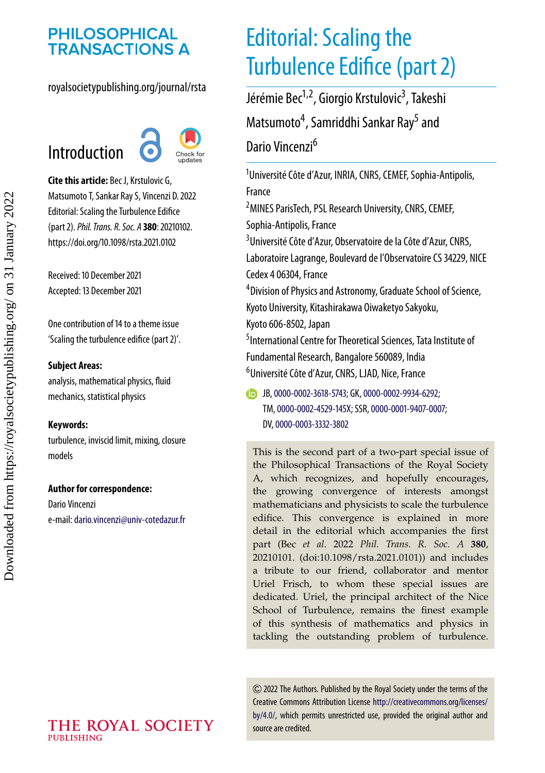# **PHILOSOPHICAL<br>TRANSACTIONS A**

### royalsocietypublishing.org/journal/rsta

## Introduction



**Cite this article:** Bec J, Krstulovic G, Matsumoto T, Sankar Ray S, Vincenzi D. 2022 Editorial: Scaling the Turbulence Edifice (part 2).*Phil. Trans. R. Soc. A* **380**: 20210102. https://doi.org/10.1098/rsta.2021.0102

Received: 10 December 2021 Accepted: 13 December 2021

One contribution of 14 to a theme issue ['Scaling the turbulence edifice \(part 2\)'.](https://doi.org/10.1098/rsta/380/2219)

#### **Subject Areas:**

analysis, mathematical physics, fluid mechanics, statistical physics

#### **Keywords:**

turbulence, inviscid limit, mixing, closure models

#### **Author for correspondence:**

Dario Vincenzi e-mail:[dario.vincenzi@univ-cotedazur.fr](mailto:dario.vincenzi@univ-cotedazur.fr)

# Editorial: Scaling the Turbulence Edifice (part 2)

Jérémie Bec<sup>1,2</sup>, Giorgio Krstulovic<sup>3</sup>, Takeshi Matsumoto<sup>4</sup>, Samriddhi Sankar Ray<sup>5</sup> and Dario Vincenzi<sup>6</sup>

1 Université Côte d'Azur, INRIA, CNRS, CEMEF, Sophia-Antipolis, France 2 MINES ParisTech, PSL Research University, CNRS, CEMEF,

Sophia-Antipolis, France

<sup>3</sup>Université Côte d'Azur, Observatoire de la Côte d'Azur, CNRS, Laboratoire Lagrange, Boulevard de l'Observatoire CS 34229, NICE Cedex 4 06304, France

4 Division of Physics and Astronomy, Graduate School of Science, Kyoto University, Kitashirakawa Oiwaketyo Sakyoku, Kyoto 606-8502, Japan

5 International Centre for Theoretical Sciences, Tata Institute of Fundamental Research, Bangalore 560089, India 6 Université Côte d'Azur, CNRS, LJAD, Nice, France

JB,[0000-0002-3618-5743;](http://orcid.org/0000-0002-3618-5743) GK,[0000-0002-9934-6292;](http://orcid.org/0000-0002-9934-6292) TM,[0000-0002-4529-145X;](http://orcid.org/0000-0002-4529-145X) SSR,[0000-0001-9407-0007;](http://orcid.org/0000-0001-9407-0007) DV,[0000-0003-3332-3802](http://orcid.org/0000-0003-3332-3802)

This is the second part of a two-part special issue of the Philosophical Transactions of the Royal Society A, which recognizes, and hopefully encourages, the growing convergence of interests amongst mathematicians and physicists to scale the turbulence edifice. This convergence is explained in more detail in the editorial which accompanies the first part (Bec *et al*. 2022 *Phil. Trans. R. Soc. A* **380**, 20210101. (doi:10.1098/rsta.2021.0101)) and includes a tribute to our friend, collaborator and mentor Uriel Frisch, to whom these special issues are dedicated. Uriel, the principal architect of the Nice School of Turbulence, remains the finest example of this synthesis of mathematics and physics in tackling the outstanding problem of turbulence.

2022 The Authors. Published by the Royal Society under the terms of the Creative Commons Attribution License [http://creativecommons.org/licenses/](http://creativecommons.org/licenses/by/4.0/) [by/4.0/,](http://creativecommons.org/licenses/by/4.0/) which permits unrestricted use, provided the original author and source are credited.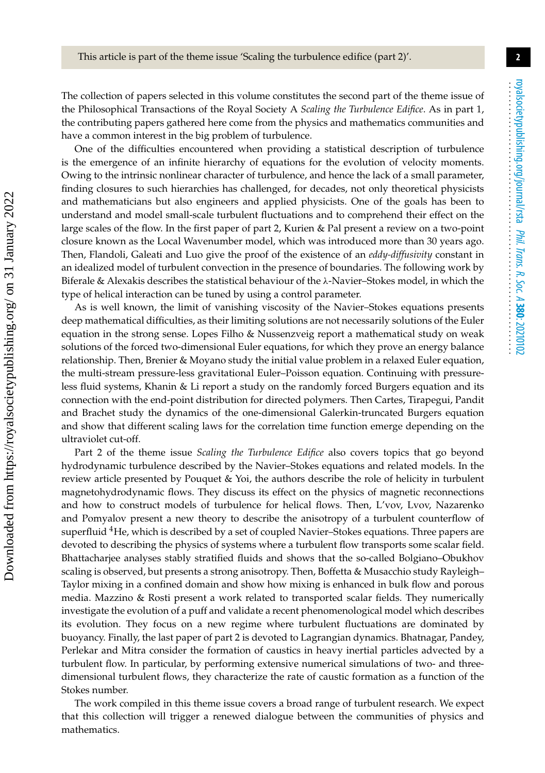**2**

The collection of papers selected in this volume constitutes the second part of the theme issue of the Philosophical Transactions of the Royal Society A *Scaling the Turbulence Edifice*. As in part 1, the contributing papers gathered here come from the physics and mathematics communities and have a common interest in the big problem of turbulence.

One of the difficulties encountered when providing a statistical description of turbulence is the emergence of an infinite hierarchy of equations for the evolution of velocity moments. Owing to the intrinsic nonlinear character of turbulence, and hence the lack of a small parameter, finding closures to such hierarchies has challenged, for decades, not only theoretical physicists and mathematicians but also engineers and applied physicists. One of the goals has been to understand and model small-scale turbulent fluctuations and to comprehend their effect on the large scales of the flow. In the first paper of part 2, Kurien & Pal present a review on a two-point closure known as the Local Wavenumber model, which was introduced more than 30 years ago. Then, Flandoli, Galeati and Luo give the proof of the existence of an *eddy-diffusivity* constant in an idealized model of turbulent convection in the presence of boundaries. The following work by Biferale & Alexakis describes the statistical behaviour of the  $\lambda$ -Navier–Stokes model, in which the type of helical interaction can be tuned by using a control parameter.

As is well known, the limit of vanishing viscosity of the Navier–Stokes equations presents deep mathematical difficulties, as their limiting solutions are not necessarily solutions of the Euler equation in the strong sense. Lopes Filho & Nussenzveig report a mathematical study on weak solutions of the forced two-dimensional Euler equations, for which they prove an energy balance relationship. Then, Brenier & Moyano study the initial value problem in a relaxed Euler equation, the multi-stream pressure-less gravitational Euler–Poisson equation. Continuing with pressureless fluid systems, Khanin & Li report a study on the randomly forced Burgers equation and its connection with the end-point distribution for directed polymers. Then Cartes, Tirapegui, Pandit and Brachet study the dynamics of the one-dimensional Galerkin-truncated Burgers equation and show that different scaling laws for the correlation time function emerge depending on the ultraviolet cut-off.

Part 2 of the theme issue *Scaling the Turbulence Edifice* also covers topics that go beyond hydrodynamic turbulence described by the Navier–Stokes equations and related models. In the review article presented by Pouquet & Yoi, the authors describe the role of helicity in turbulent magnetohydrodynamic flows. They discuss its effect on the physics of magnetic reconnections and how to construct models of turbulence for helical flows. Then, L'vov, Lvov, Nazarenko and Pomyalov present a new theory to describe the anisotropy of a turbulent counterflow of superfluid <sup>4</sup>He, which is described by a set of coupled Navier–Stokes equations. Three papers are devoted to describing the physics of systems where a turbulent flow transports some scalar field. Bhattacharjee analyses stably stratified fluids and shows that the so-called Bolgiano–Obukhov scaling is observed, but presents a strong anisotropy. Then, Boffetta & Musacchio study Rayleigh– Taylor mixing in a confined domain and show how mixing is enhanced in bulk flow and porous media. Mazzino & Rosti present a work related to transported scalar fields. They numerically investigate the evolution of a puff and validate a recent phenomenological model which describes its evolution. They focus on a new regime where turbulent fluctuations are dominated by buoyancy. Finally, the last paper of part 2 is devoted to Lagrangian dynamics. Bhatnagar, Pandey, Perlekar and Mitra consider the formation of caustics in heavy inertial particles advected by a turbulent flow. In particular, by performing extensive numerical simulations of two- and threedimensional turbulent flows, they characterize the rate of caustic formation as a function of the Stokes number.

The work compiled in this theme issue covers a broad range of turbulent research. We expect that this collection will trigger a renewed dialogue between the communities of physics and mathematics.